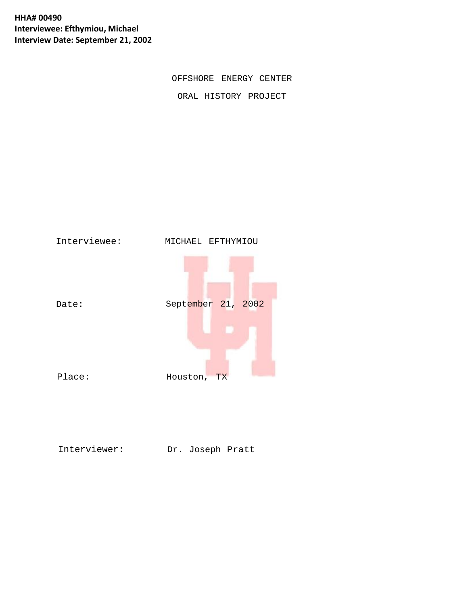**HHA# 00490 Interviewee: Efthymiou, Michael Interview Date: September 21, 2002**

OFFSHORE ENERGY CENTER

ORAL HISTORY PROJECT



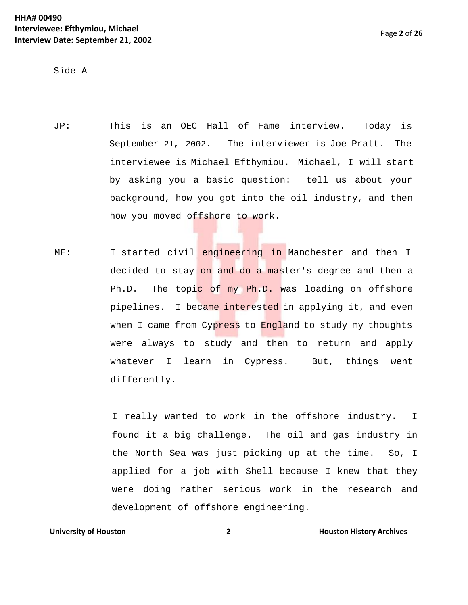# Side A

- JP: This is an OEC Hall of Fame interview. Today is September 21, 2002. The interviewer is Joe Pratt. The interviewee is Michael Efthymiou. Michael, I will start by asking you a basic question: tell us about your background, how you got into the oil industry, and then how you moved offshore to work.
- ME: I started civil engineering in Manchester and then I decided to stay on and do a master's degree and then a Ph.D. The topic of my Ph.D. was loading on offshore pipelines. I became interested in applying it, and even when I came from Cypress to England to study my thoughts were always to study and then to return and apply whatever I learn in Cypress. But, things went differently.

I really wanted to work in the offshore industry. I found it a big challenge. The oil and gas industry in the North Sea was just picking up at the time. So, I applied for a job with Shell because I knew that they were doing rather serious work in the research and development of offshore engineering.

# **University of Houston 2 Houston** *2* **<b>Houston History Archives**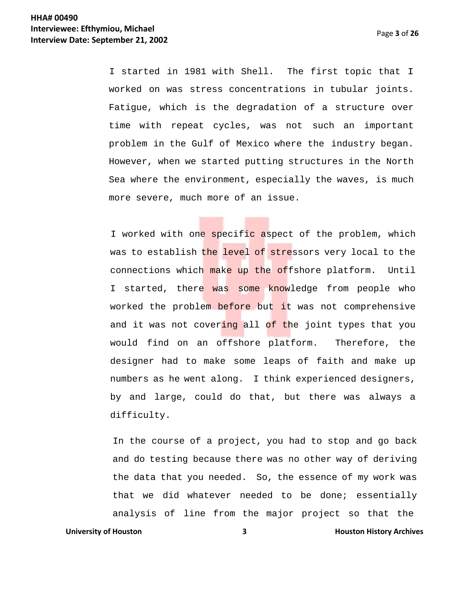Page **3** of **26**

I started in 1981 with Shell. The first topic that I worked on was stress concentrations in tubular joints. Fatigue, which is the degradation of a structure over time with repeat cycles, was not such an important problem in the Gulf of Mexico where the industry began. However, when we started putting structures in the North Sea where the environment, especially the waves, is much more severe, much more of an issue.

I worked with one specific aspect of the problem, which was to establish the level of stressors very local to the connections which make up the offshore platform. Until I started, there was some knowledge from people who worked the problem before but it was not comprehensive and it was not covering all of the joint types that you would find on an offshore platform. Therefore, the designer had to make some leaps of faith and make up numbers as he went along. I think experienced designers, by and large, could do that, but there was always a difficulty.

**University of Houston <b>3 19 Houston History Archives 3 Houston History Archives** In the course of a project, you had to stop and go back and do testing because there was no other way of deriving the data that you needed. So, the essence of my work was that we did whatever needed to be done; essentially analysis of line from the major project so that the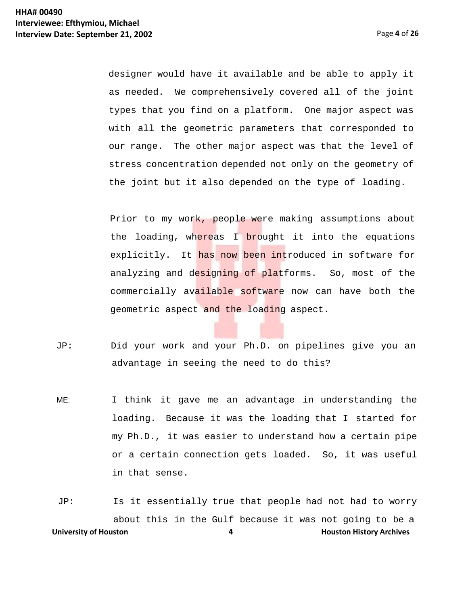designer would have it available and be able to apply it as needed. We comprehensively covered all of the joint types that you find on a platform. One major aspect was with all the geometric parameters that corresponded to our range. The other major aspect was that the level of stress concentration depended not only on the geometry of the joint but it also depended on the type of loading.

Prior to my work, people were making assumptions about the loading, whereas I brought it into the equations explicitly. It has now been introduced in software for analyzing and designing of platforms. So, most of the commercially available software now can have both the geometric aspect and the loading aspect.

- JP: Did your work and your Ph.D. on pipelines give you an advantage in seeing the need to do this?
- ME: I think it gave me an advantage in understanding the loading. Because it was the loading that I started for my Ph.D., it was easier to understand how a certain pipe or a certain connection gets loaded. So, it was useful in that sense.

**University of Houston 1988 4 Houston History Archives 4 Houston History Archives** JP: Is it essentially true that people had not had to worry about this in the Gulf because it was not going to be a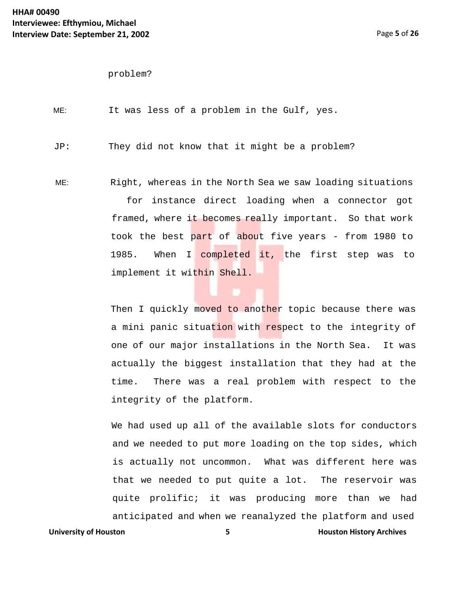problem?

ME: It was less of a problem in the Gulf, yes.

JP: They did not know that it might be a problem?

ME: Right, whereas in the North Sea we saw loading situations for instance direct loading when a connector got framed, where it becomes really important. So that work took the best part of about five years - from 1980 to 1985. When I completed it, the first step was to implement it within Shell.

> Then I quickly moved to another topic because there was a mini panic situation with respect to the integrity of one of our major installations in the North Sea. It was actually the biggest installation that they had at the time. There was a real problem with respect to the integrity of the platform.

**University of Houston <b>5 Houston 1 Houston History Archives** We had used up all of the available slots for conductors and we needed to put more loading on the top sides, which is actually not uncommon. What was different here was that we needed to put quite a lot. The reservoir was quite prolific; it was producing more than we had anticipated and when we reanalyzed the platform and used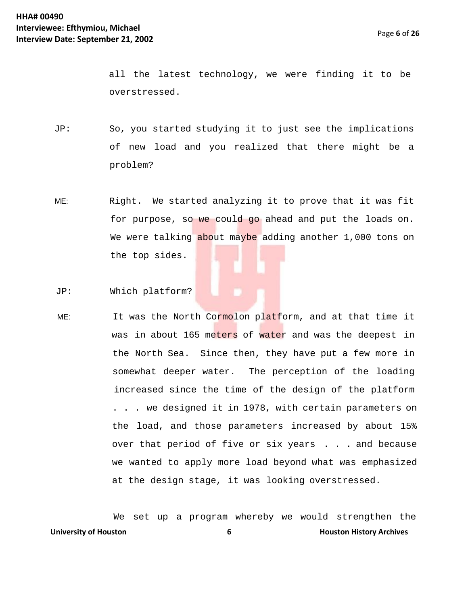all the latest technology, we were finding it to be overstressed.

- JP: So, you started studying it to just see the implications of new load and you realized that there might be a problem?
- ME: Right. We started analyzing it to prove that it was fit for purpose, so we could go ahead and put the loads on. We were talking about maybe adding another 1,000 tons on the top sides.

JP: Which platform?

ME: It was the North Cormolon platform, and at that time it was in about 165 meters of water and was the deepest in the North Sea. Since then, they have put a few more in somewhat deeper water. The perception of the loading increased since the time of the design of the platform . . . we designed it in 1978, with certain parameters on the load, and those parameters increased by about 15% over that period of five or six years . . . and because we wanted to apply more load beyond what was emphasized at the design stage, it was looking overstressed.

**University of Houston 6 Houston History Archives** We set up a program whereby we would strengthen the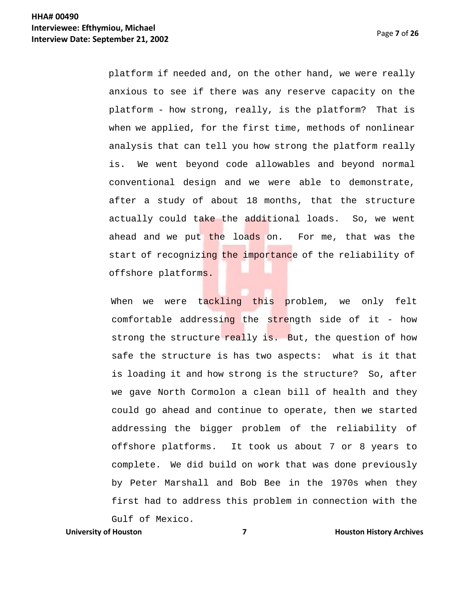platform if needed and, on the other hand, we were really anxious to see if there was any reserve capacity on the platform - how strong, really, is the platform? That is when we applied, for the first time, methods of nonlinear analysis that can tell you how strong the platform really is. We went beyond code allowables and beyond normal conventional design and we were able to demonstrate, after a study of about 18 months, that the structure actually could take the additional loads. So, we went ahead and we put the loads on. For me, that was the start of recognizing the importance of the reliability of offshore platforms.

When we were tackling this problem, we only felt comfortable addressing the strength side of it - how strong the structure really is. But, the question of how safe the structure is has two aspects: what is it that is loading it and how strong is the structure? So, after we gave North Cormolon a clean bill of health and they could go ahead and continue to operate, then we started addressing the bigger problem of the reliability of offshore platforms. It took us about 7 or 8 years to complete. We did build on work that was done previously by Peter Marshall and Bob Bee in the 1970s when they first had to address this problem in connection with the

Gulf of Mexico.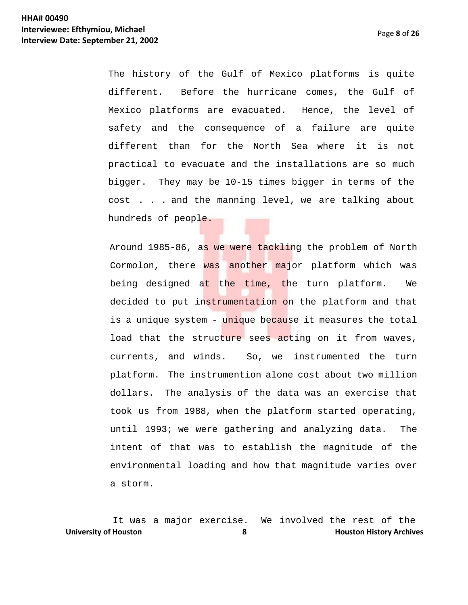The history of the Gulf of Mexico platforms is quite different. Before the hurricane comes, the Gulf of Mexico platforms are evacuated. Hence, the level of safety and the consequence of a failure are quite different than for the North Sea where it is not practical to evacuate and the installations are so much bigger. They may be 10-15 times bigger in terms of the cost . . . and the manning level, we are talking about hundreds of people.

Around 1985-86, as we were tackling the problem of North Cormolon, there was another major platform which was being designed at the time, the turn platform. We decided to put instrumentation on the platform and that is a unique system - unique because it measures the total load that the structure sees acting on it from waves, currents, and winds. So, we instrumented the turn platform. The instrumention alone cost about two million dollars. The analysis of the data was an exercise that took us from 1988, when the platform started operating, until 1993; we were gathering and analyzing data. The intent of that was to establish the magnitude of the environmental loading and how that magnitude varies over a storm.

**University of Houston <b>8 Houston 8 Houston History Archives** It was a major exercise. We involved the rest of the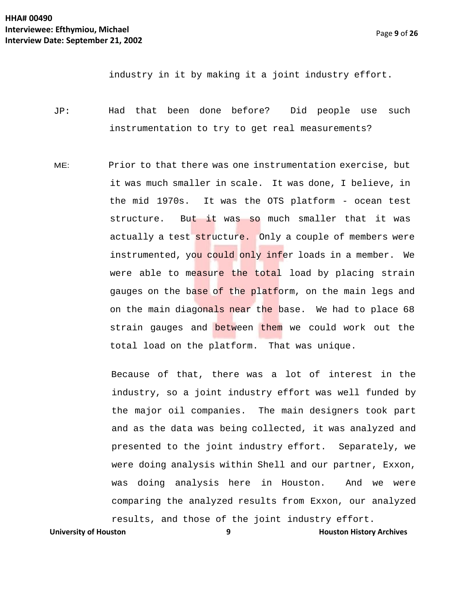industry in it by making it a joint industry effort.

- JP: Had that been done before? Did people use such instrumentation to try to get real measurements?
- ME: Prior to that there was one instrumentation exercise, but it was much smaller in scale. It was done, I believe, in the mid 1970s. It was the OTS platform - ocean test structure. But it was so much smaller that it was actually a test structure. Only a couple of members were instrumented, you could only infer loads in a member. We were able to measure the total load by placing strain gauges on the base of the platform, on the main legs and on the main diagonals near the base. We had to place 68 strain gauges and between them we could work out the total load on the platform. That was unique.

Because of that, there was a lot of interest in the industry, so a joint industry effort was well funded by the major oil companies. The main designers took part and as the data was being collected, it was analyzed and presented to the joint industry effort. Separately, we were doing analysis within Shell and our partner, Exxon, was doing analysis here in Houston. And we were comparing the analyzed results from Exxon, our analyzed results, and those of the joint industry effort.

**University of Houston 9 Houston History Archives**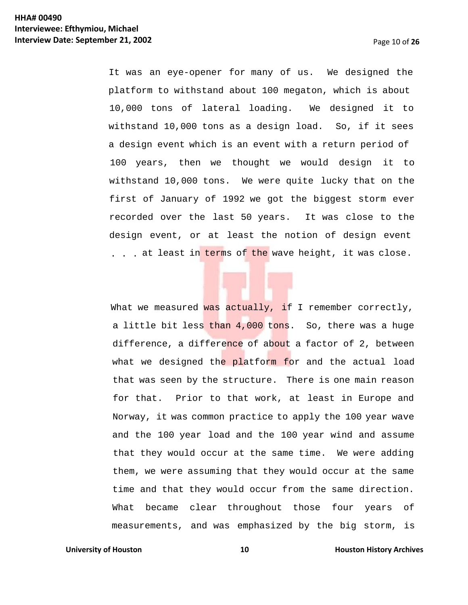It was an eye-opener for many of us. We designed the platform to withstand about 100 megaton, which is about 10,000 tons of lateral loading. We designed it to withstand 10,000 tons as a design load. So, if it sees a design event which is an event with a return period of 100 years, then we thought we would design it to withstand 10,000 tons. We were quite lucky that on the first of January of 1992 we got the biggest storm ever recorded over the last 50 years. It was close to the design event, or at least the notion of design event . . . at least in terms of the wave height, it was close.

What we measured was actually, if I remember correctly, a little bit less than 4,000 tons. So, there was a huge difference, a difference of about a factor of 2, between what we designed the platform for and the actual load that was seen by the structure. There is one main reason for that. Prior to that work, at least in Europe and Norway, it was common practice to apply the 100 year wave and the 100 year load and the 100 year wind and assume that they would occur at the same time. We were adding them, we were assuming that they would occur at the same time and that they would occur from the same direction. What became clear throughout those four years of measurements, and was emphasized by the big storm, is

### **University of Houston 10 Houston** *History Archives* **10 Houston History Archives**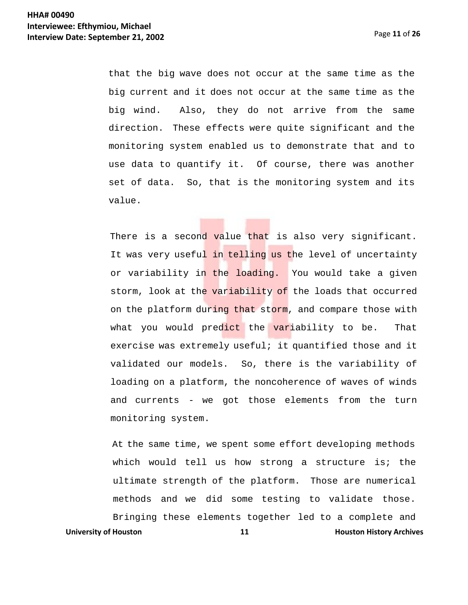that the big wave does not occur at the same time as the big current and it does not occur at the same time as the big wind. Also, they do not arrive from the same direction. These effects were quite significant and the monitoring system enabled us to demonstrate that and to use data to quantify it. Of course, there was another set of data. So, that is the monitoring system and its value.

There is a second value that is also very significant. It was very useful in telling us the level of uncertainty or variability in the loading. You would take a given storm, look at the variability of the loads that occurred on the platform during that storm, and compare those with what you would predict the variability to be. That exercise was extremely useful; it quantified those and it validated our models. So, there is the variability of loading on a platform, the noncoherence of waves of winds and currents - we got those elements from the turn monitoring system.

**University of Houston 11 Houston** *History Archives* **11 Houston History Archives** At the same time, we spent some effort developing methods which would tell us how strong a structure is; the ultimate strength of the platform. Those are numerical methods and we did some testing to validate those. Bringing these elements together led to a complete and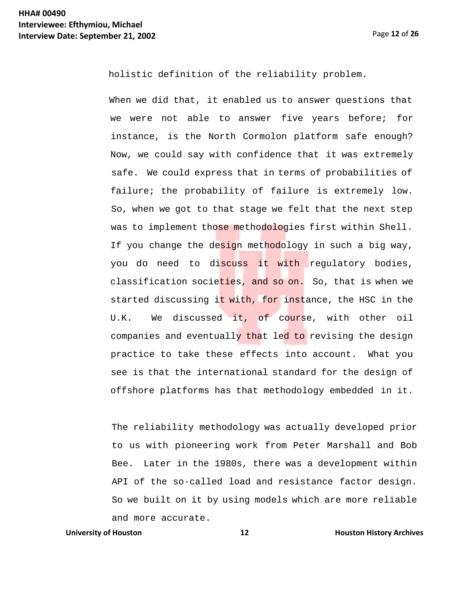holistic definition of the reliability problem.

When we did that, it enabled us to answer questions that we were not able to answer five years before; for instance, is the North Cormolon platform safe enough? Now, we could say with confidence that it was extremely safe. We could express that in terms of probabilities of failure; the probability of failure is extremely low. So, when we got to that stage we felt that the next step was to implement those methodologies first within Shell. If you change the design methodology in such a big way, you do need to discuss it with regulatory bodies, classification societies, and so on. So, that is when we started discussing it with, for instance, the HSC in the U.K. We discussed it, of course, with other oil companies and eventually that led to revising the design practice to take these effects into account. What you see is that the international standard for the design of offshore platforms has that methodology embedded in it.

The reliability methodology was actually developed prior to us with pioneering work from Peter Marshall and Bob Bee. Later in the 1980s, there was a development within API of the so-called load and resistance factor design. So we built on it by using models which are more reliable and more accurate.

# **University of Houston 12 Houston History Archives**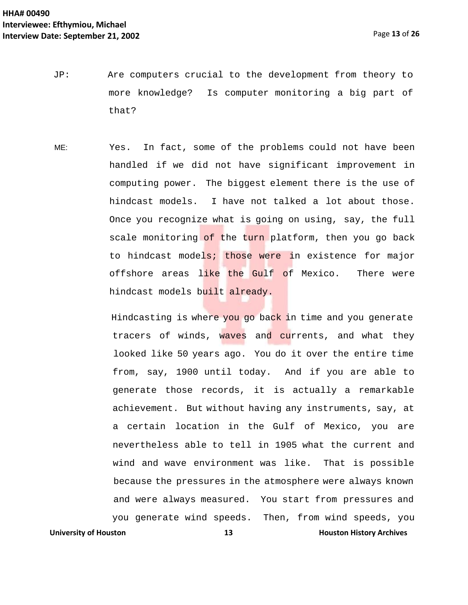- JP: Are computers crucial to the development from theory to more knowledge? Is computer monitoring a big part of that?
- ME: Yes. In fact, some of the problems could not have been handled if we did not have significant improvement in computing power. The biggest element there is the use of hindcast models. I have not talked a lot about those. Once you recognize what is going on using, say, the full scale monitoring of the turn platform, then you go back to hindcast models; those were in existence for major offshore areas like the Gulf of Mexico. There were hindcast models built already.

**University of Houston 13 Houston** *13* **<b>Houston History Archives** Hindcasting is where you go back in time and you generate tracers of winds, waves and currents, and what they looked like 50 years ago. You do it over the entire time from, say, 1900 until today. And if you are able to generate those records, it is actually a remarkable achievement. But without having any instruments, say, at a certain location in the Gulf of Mexico, you are nevertheless able to tell in 1905 what the current and wind and wave environment was like. That is possible because the pressures in the atmosphere were always known and were always measured. You start from pressures and you generate wind speeds. Then, from wind speeds, you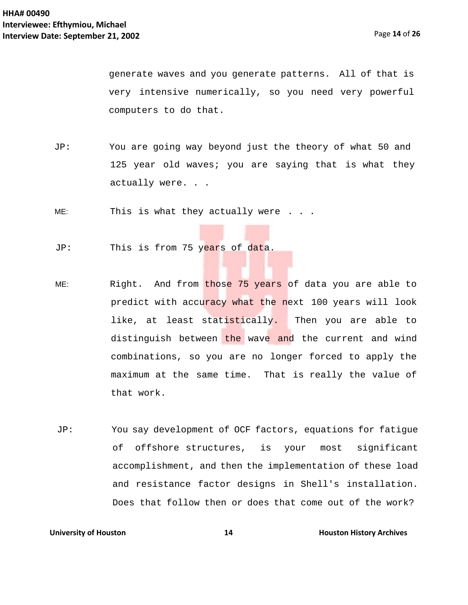Page **14** of **26**

generate waves and you generate patterns. All of that is very intensive numerically, so you need very powerful computers to do that.

JP: You are going way beyond just the theory of what 50 and 125 year old waves; you are saying that is what they actually were. . .

ME: This is what they actually were . . .

- JP: This is from 75 years of data.
- ME: Right. And from those 75 years of data you are able to predict with accuracy what the next 100 years will look like, at least statistically. Then you are able to distinguish between the wave and the current and wind combinations, so you are no longer forced to apply the maximum at the same time. That is really the value of that work.
- JP: You say development of OCF factors, equations for fatigue of offshore structures, is your most significant accomplishment, and then the implementation of these load and resistance factor designs in Shell's installation. Does that follow then or does that come out of the work?

### **University of Houston 14 14 Houston History Archives**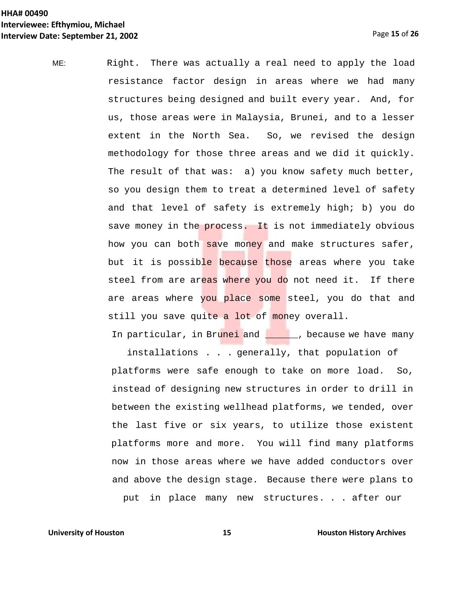ME: Right. There was actually a real need to apply the load resistance factor design in areas where we had many structures being designed and built every year. And, for us, those areas were in Malaysia, Brunei, and to a lesser extent in the North Sea. So, we revised the design methodology for those three areas and we did it quickly. The result of that was: a) you know safety much better, so you design them to treat a determined level of safety and that level of safety is extremely high; b) you do save money in the process. It is not immediately obvious how you can both save money and make structures safer, but it is possible because those areas where you take steel from are areas where you do not need it. If there are areas where you place some steel, you do that and still you save quite a lot of money overall.

In particular, in Brunei and \_\_\_\_\_, because we have many

installations . . . generally, that population of platforms were safe enough to take on more load. So, instead of designing new structures in order to drill in between the existing wellhead platforms, we tended, over the last five or six years, to utilize those existent platforms more and more. You will find many platforms now in those areas where we have added conductors over and above the design stage. Because there were plans to put in place many new structures. . . after our

**University of Houston <b>15 15 Houston History Archives**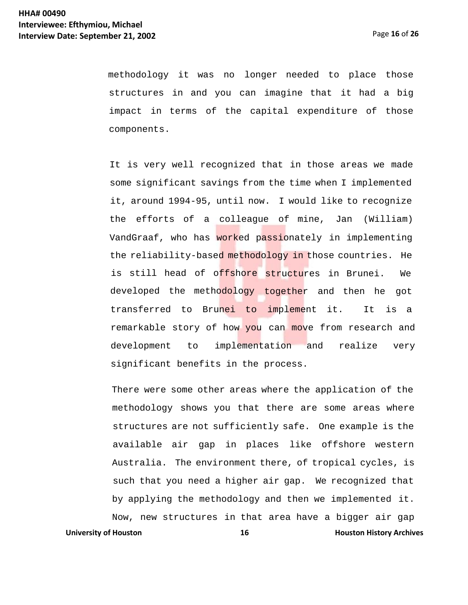methodology it was no longer needed to place those structures in and you can imagine that it had a big impact in terms of the capital expenditure of those components.

It is very well recognized that in those areas we made some significant savings from the time when I implemented it, around 1994-95, until now. I would like to recognize the efforts of a colleague of mine, Jan (William) VandGraaf, who has worked passionately in implementing the reliability-based methodology in those countries. He is still head of o<mark>ffshore structu</mark>res in Brunei. We developed the metho<mark>dology togethe</mark>r and then he got transferred to Brun<mark>ei to impleme</mark>nt it. It is a remarkable story of how you can move from research and development to implementation and realize very significant benefits in the process.

**University of Houston 16 Houston <b>History Archives 16 Houston History Archives** There were some other areas where the application of the methodology shows you that there are some areas where structures are not sufficiently safe. One example is the available air gap in places like offshore western Australia. The environment there, of tropical cycles, is such that you need a higher air gap. We recognized that by applying the methodology and then we implemented it. Now, new structures in that area have a bigger air gap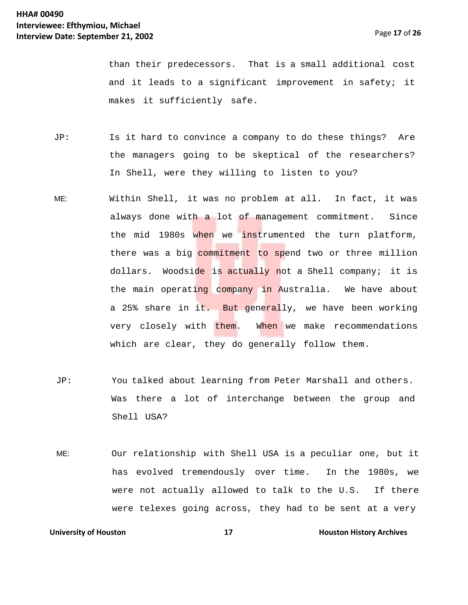than their predecessors. That is a small additional cost and it leads to a significant improvement in safety; it makes it sufficiently safe.

- JP: Is it hard to convince a company to do these things? Are the managers going to be skeptical of the researchers? In Shell, were they willing to listen to you?
- ME: Within Shell, it was no problem at all. In fact, it was always done with a lot of management commitment. Since the mid 1980s when we instrumented the turn platform, there was a big commitment to spend two or three million dollars. Woodside is actually not a Shell company; it is the main operating company in Australia. We have about a 25% share in it. But generally, we have been working very closely with them. When we make recommendations which are clear, they do generally follow them.
- JP: You talked about learning from Peter Marshall and others. Was there a lot of interchange between the group and Shell USA?
- ME: Our relationship with Shell USA is a peculiar one, but it has evolved tremendously over time. In the 1980s, we were not actually allowed to talk to the U.S. If there were telexes going across, they had to be sent at a very

**University of Houston 17 Houston** *IT* **Houston History Archives**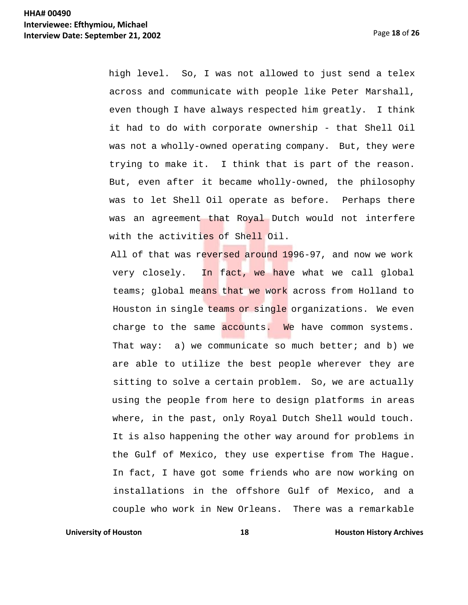Page **18** of **26**

high level. So, I was not allowed to just send a telex across and communicate with people like Peter Marshall, even though I have always respected him greatly. I think it had to do with corporate ownership - that Shell Oil was not a wholly-owned operating company. But, they were trying to make it. I think that is part of the reason. But, even after it became wholly-owned, the philosophy was to let Shell Oil operate as before. Perhaps there was an agreement that Royal Dutch would not interfere with the activities of Shell Oil.

All of that was reversed around 1996-97, and now we work very closely. In fact, we have what we call global teams; global means that we work across from Holland to Houston in single teams or single organizations. We even charge to the same accounts. We have common systems. That way:  $a)$  we communicate so much better; and b) we are able to utilize the best people wherever they are sitting to solve a certain problem. So, we are actually using the people from here to design platforms in areas where, in the past, only Royal Dutch Shell would touch. It is also happening the other way around for problems in the Gulf of Mexico, they use expertise from The Hague. In fact, I have got some friends who are now working on installations in the offshore Gulf of Mexico, and a couple who work in New Orleans. There was a remarkable

**University of Houston 18 Houston** *18* **<b>Houston History Archives**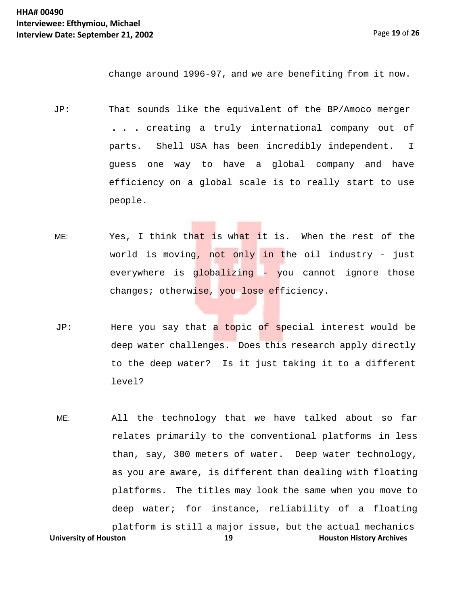change around 1996-97, and we are benefiting from it now.

- JP: That sounds like the equivalent of the BP/Amoco merger . . . creating a truly international company out of parts. Shell USA has been incredibly independent. I guess one way to have a global company and have efficiency on a global scale is to really start to use people.
- ME: Yes, I think that is what it is. When the rest of the world is moving, not only in the oil industry - just everywhere is globalizing - you cannot ignore those changes; otherwise, you lose efficiency.
- JP: Here you say that a topic of special interest would be deep water challenges. Does this research apply directly to the deep water? Is it just taking it to a different level?
- **University of Houston 19 Houston History Archives** ME: All the technology that we have talked about so far relates primarily to the conventional platforms in less than, say, 300 meters of water. Deep water technology, as you are aware, is different than dealing with floating platforms. The titles may look the same when you move to deep water; for instance, reliability of a floating platform is still a major issue, but the actual mechanics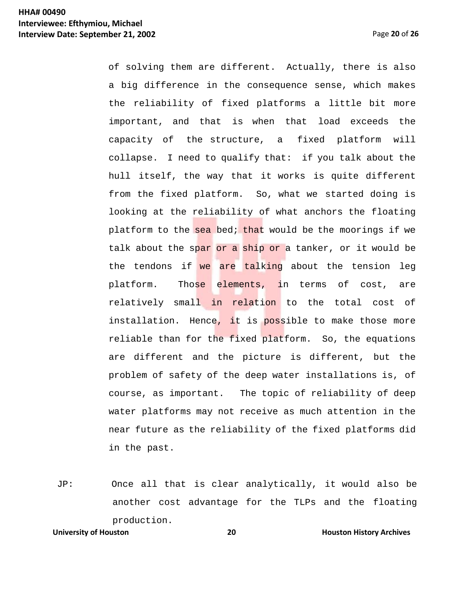Page **20** of **26**

of solving them are different. Actually, there is also a big difference in the consequence sense, which makes the reliability of fixed platforms a little bit more important, and that is when that load exceeds the capacity of the structure, a fixed platform will collapse. I need to qualify that: if you talk about the hull itself, the way that it works is quite different from the fixed platform. So, what we started doing is looking at the reliability of what anchors the floating platform to the sea bed; that would be the moorings if we talk about the spar or a ship or a tanker, or it would be the tendons if we are talking about the tension leg platform. Those elements, in terms of cost, are relatively small in relation to the total cost of installation. Hence, it is possible to make those more reliable than for the fixed platform. So, the equations are different and the picture is different, but the problem of safety of the deep water installations is, of course, as important. The topic of reliability of deep water platforms may not receive as much attention in the near future as the reliability of the fixed platforms did in the past.

JP: Once all that is clear analytically, it would also be another cost advantage for the TLPs and the floating production.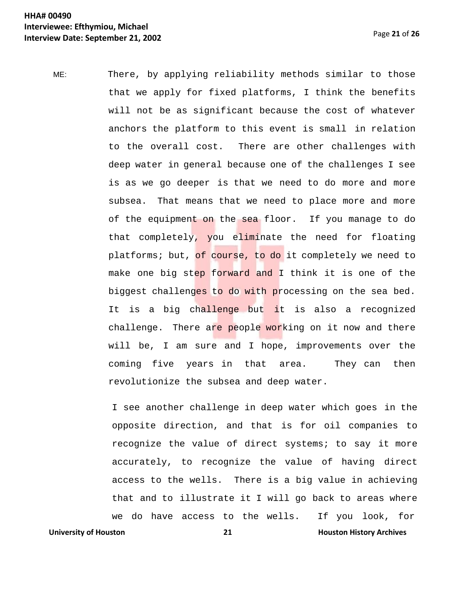ME: There, by applying reliability methods similar to those that we apply for fixed platforms, I think the benefits will not be as significant because the cost of whatever anchors the platform to this event is small in relation to the overall cost. There are other challenges with deep water in general because one of the challenges I see is as we go deeper is that we need to do more and more subsea. That means that we need to place more and more of the equipment on the sea floor. If you manage to do that completely, you eliminate the need for floating platforms; but, of course, to do it completely we need to make one big step forward and I think it is one of the biggest challenges to do with processing on the sea bed. It is a big challenge but it is also a recognized challenge. There are people working on it now and there will be, I am sure and I hope, improvements over the coming five years in that area. They can then revolutionize the subsea and deep water.

**University of Houston 21 Houston History Archives** I see another challenge in deep water which goes in the opposite direction, and that is for oil companies to recognize the value of direct systems; to say it more accurately, to recognize the value of having direct access to the wells. There is a big value in achieving that and to illustrate it I will go back to areas where we do have access to the wells. If you look, for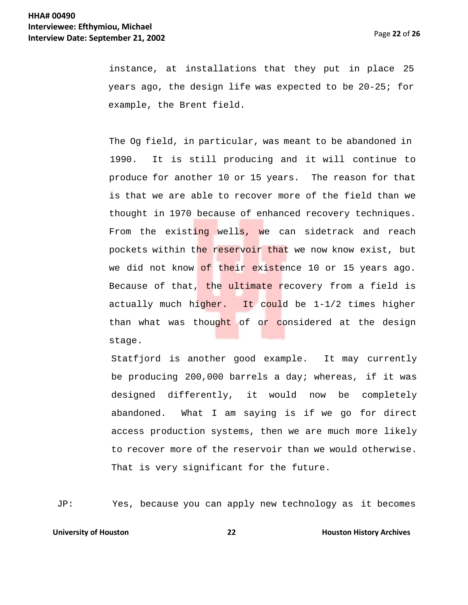instance, at installations that they put in place 25 years ago, the design life was expected to be 20-25; for example, the Brent field.

The Og field, in particular, was meant to be abandoned in 1990. It is still producing and it will continue to produce for another 10 or 15 years. The reason for that is that we are able to recover more of the field than we thought in 1970 because of enhanced recovery techniques. From the existing wells, we can sidetrack and reach pockets within the reservoir that we now know exist, but we did not know of their existence 10 or 15 years ago. Because of that, the ultimate recovery from a field is actually much higher. It could be  $1-1/2$  times higher than what was thought of or considered at the design stage.

Statfjord is another good example. It may currently be producing 200,000 barrels a day; whereas, if it was designed differently, it would now be completely abandoned. What I am saying is if we go for direct access production systems, then we are much more likely to recover more of the reservoir than we would otherwise. That is very significant for the future.

JP: Yes, because you can apply new technology as it becomes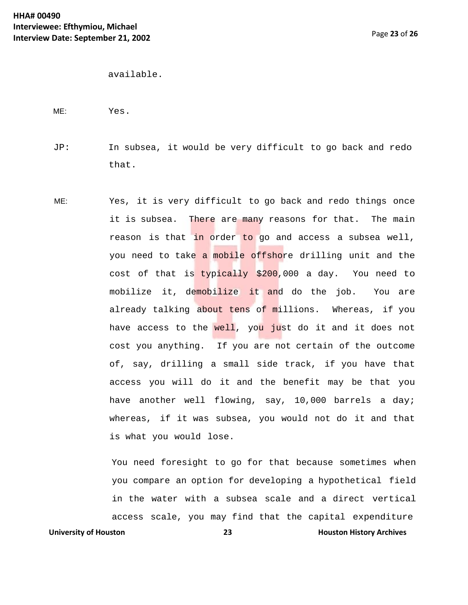```
available.
```

```
ME: Yes.
```
- JP: In subsea, it would be very difficult to go back and redo that.
- ME: Yes, it is very difficult to go back and redo things once it is subsea. There are many reasons for that. The main reason is that in order to go and access a subsea well, you need to take a mobile offshore drilling unit and the cost of that is typically \$200,000 a day. You need to mobilize it, demobilize it and do the job. You are already talking about tens of millions. Whereas, if you have access to the well, you just do it and it does not cost you anything. If you are not certain of the outcome of, say, drilling a small side track, if you have that access you will do it and the benefit may be that you have another well flowing, say, 10,000 barrels a day; whereas, if it was subsea, you would not do it and that is what you would lose.

You need foresight to go for that because sometimes when you compare an option for developing a hypothetical field in the water with a subsea scale and a direct vertical access scale, you may find that the capital expenditure

**University of Houston 23 Houston History Archives**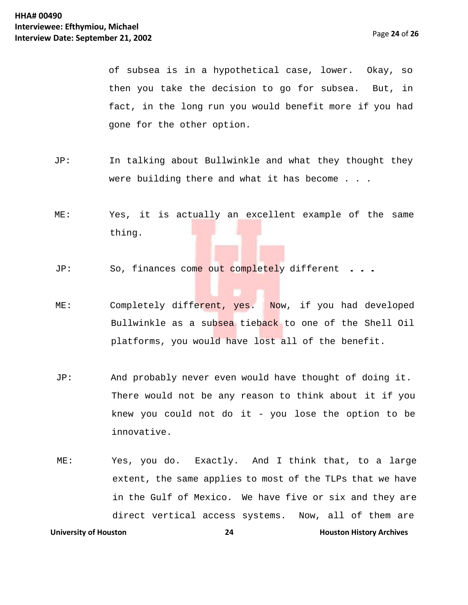of subsea is in a hypothetical case, lower. Okay, so then you take the decision to go for subsea. But, in fact, in the long run you would benefit more if you had gone for the other option.

- JP: In talking about Bullwinkle and what they thought they were building there and what it has become . . .
- ME: Yes, it is actually an excellent example of the same thing.
- JP: So, finances come out completely different . ..
- ME: Completely different, yes. Now, if you had developed Bullwinkle as a subsea tieback to one of the Shell Oil platforms, you would have lost all of the benefit.
- JP: And probably never even would have thought of doing it. There would not be any reason to think about it if you knew you could not do it - you lose the option to be innovative.
- **University of Houston 24 1988 Houston History Archives** ME: Yes, you do. Exactly. And I think that, to a large extent, the same applies to most of the TLPs that we have in the Gulf of Mexico. We have five or six and they are direct vertical access systems. Now, all of them are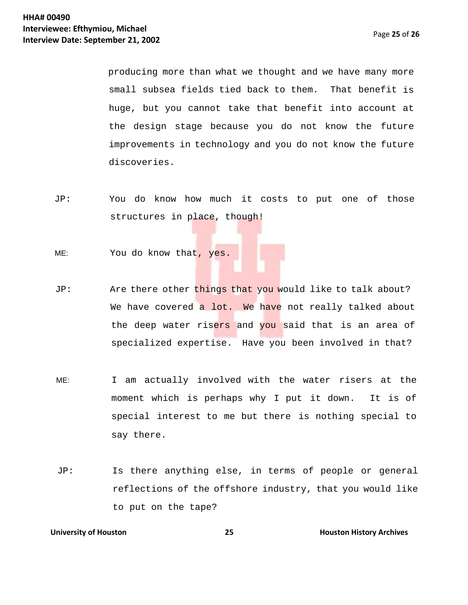producing more than what we thought and we have many more small subsea fields tied back to them. That benefit is huge, but you cannot take that benefit into account at the design stage because you do not know the future improvements in technology and you do not know the future discoveries.

- JP: You do know how much it costs to put one of those structures in place, though!
- ME: You do know that, yes.
- JP: Are there other things that you would like to talk about? We have covered a lot. We have not really talked about the deep water risers and you said that is an area of specialized expertise. Have you been involved in that?
- ME: I am actually involved with the water risers at the moment which is perhaps why I put it down. It is of special interest to me but there is nothing special to say there.
- JP: Is there anything else, in terms of people or general reflections of the offshore industry, that you would like to put on the tape?

### **University of Houston <b>25 Houston 25 Houston History Archives**